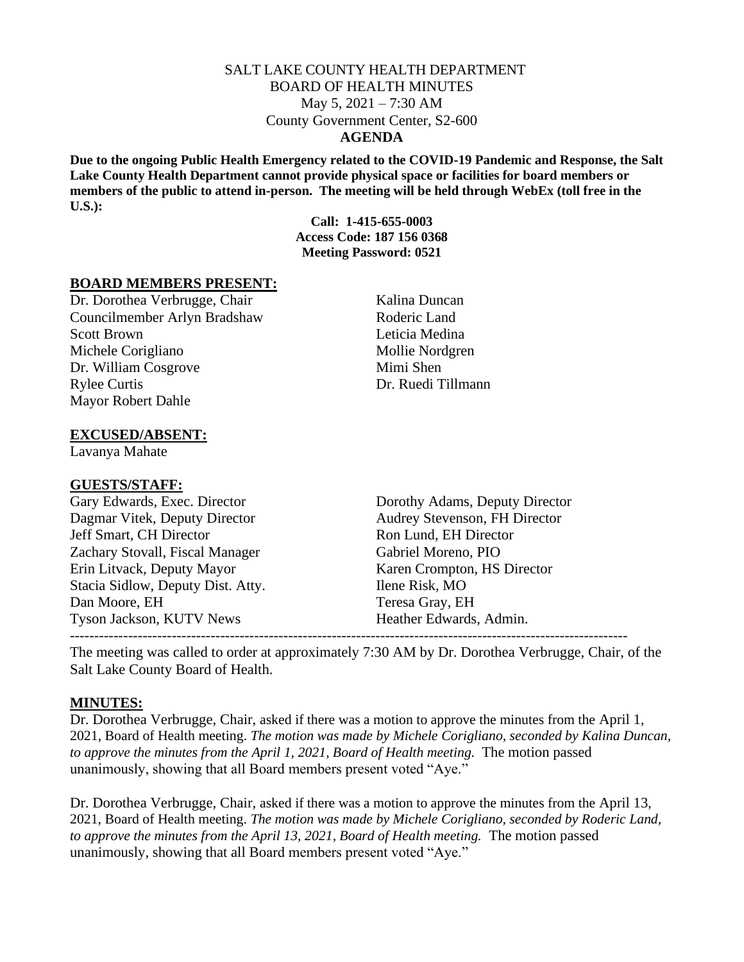#### SALT LAKE COUNTY HEALTH DEPARTMENT BOARD OF HEALTH MINUTES May 5, 2021 – 7:30 AM County Government Center, S2-600 **AGENDA**

**Due to the ongoing Public Health Emergency related to the COVID-19 Pandemic and Response, the Salt Lake County Health Department cannot provide physical space or facilities for board members or members of the public to attend in-person. The meeting will be held through WebEx (toll free in the U.S.):**

> **Call: 1-415-655-0003 Access Code: 187 156 0368 Meeting Password: 0521**

#### **BOARD MEMBERS PRESENT:**

Dr. Dorothea Verbrugge, Chair Kalina Duncan Councilmember Arlyn Bradshaw Roderic Land Scott Brown Leticia Medina Michele Corigliano Mollie Nordgren Dr. William Cosgrove Mimi Shen Rylee Curtis Dr. Ruedi Tillmann Mayor Robert Dahle

#### **EXCUSED/ABSENT:**

Lavanya Mahate

#### **GUESTS/STAFF:**

Dagmar Vitek, Deputy Director Audrey Stevenson, FH Director Jeff Smart, CH Director Ron Lund, EH Director Zachary Stovall, Fiscal Manager Gabriel Moreno, PIO Erin Litvack, Deputy Mayor Karen Crompton, HS Director Stacia Sidlow, Deputy Dist. Atty. Ilene Risk, MO Dan Moore, EH Teresa Gray, EH Tyson Jackson, KUTV News Heather Edwards, Admin. -------------------------------------------------------------------------------------------------------------------

Gary Edwards, Exec. Director Dorothy Adams, Deputy Director

The meeting was called to order at approximately 7:30 AM by Dr. Dorothea Verbrugge, Chair, of the Salt Lake County Board of Health.

#### **MINUTES:**

Dr. Dorothea Verbrugge, Chair, asked if there was a motion to approve the minutes from the April 1, 2021, Board of Health meeting. *The motion was made by Michele Corigliano, seconded by Kalina Duncan, to approve the minutes from the April 1, 2021, Board of Health meeting.* The motion passed unanimously, showing that all Board members present voted "Aye."

Dr. Dorothea Verbrugge, Chair, asked if there was a motion to approve the minutes from the April 13, 2021, Board of Health meeting. *The motion was made by Michele Corigliano, seconded by Roderic Land,*  to approve the minutes from the April 13, 2021, Board of Health meeting. The motion passed unanimously, showing that all Board members present voted "Aye."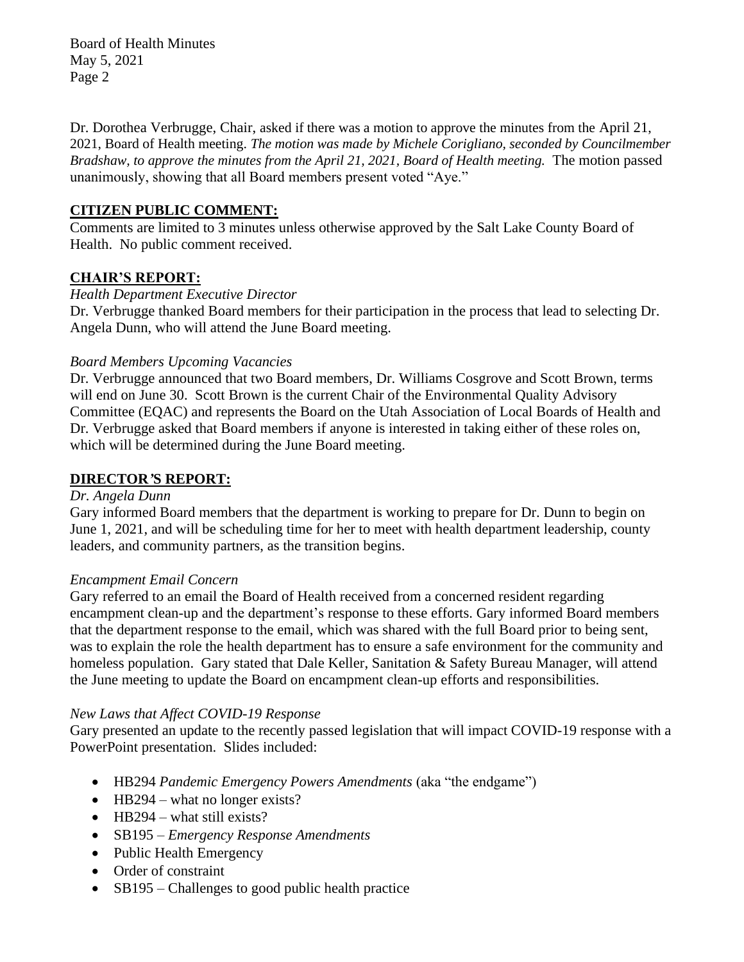Board of Health Minutes May 5, 2021 Page 2

Dr. Dorothea Verbrugge, Chair, asked if there was a motion to approve the minutes from the April 21, 2021, Board of Health meeting. *The motion was made by Michele Corigliano, seconded by Councilmember Bradshaw, to approve the minutes from the April 21, 2021, Board of Health meeting.* The motion passed unanimously, showing that all Board members present voted "Aye."

# **CITIZEN PUBLIC COMMENT:**

Comments are limited to 3 minutes unless otherwise approved by the Salt Lake County Board of Health. No public comment received.

# **CHAIR'S REPORT:**

# *Health Department Executive Director*

Dr. Verbrugge thanked Board members for their participation in the process that lead to selecting Dr. Angela Dunn, who will attend the June Board meeting.

### *Board Members Upcoming Vacancies*

Dr. Verbrugge announced that two Board members, Dr. Williams Cosgrove and Scott Brown, terms will end on June 30. Scott Brown is the current Chair of the Environmental Quality Advisory Committee (EQAC) and represents the Board on the Utah Association of Local Boards of Health and Dr. Verbrugge asked that Board members if anyone is interested in taking either of these roles on, which will be determined during the June Board meeting.

### **DIRECTOR***'***S REPORT:**

#### *Dr. Angela Dunn*

Gary informed Board members that the department is working to prepare for Dr. Dunn to begin on June 1, 2021, and will be scheduling time for her to meet with health department leadership, county leaders, and community partners, as the transition begins.

### *Encampment Email Concern*

Gary referred to an email the Board of Health received from a concerned resident regarding encampment clean-up and the department's response to these efforts. Gary informed Board members that the department response to the email, which was shared with the full Board prior to being sent, was to explain the role the health department has to ensure a safe environment for the community and homeless population. Gary stated that Dale Keller, Sanitation & Safety Bureau Manager, will attend the June meeting to update the Board on encampment clean-up efforts and responsibilities.

### *New Laws that Affect COVID-19 Response*

Gary presented an update to the recently passed legislation that will impact COVID-19 response with a PowerPoint presentation. Slides included:

- HB294 *Pandemic Emergency Powers Amendments* (aka "the endgame")
- HB294 what no longer exists?
- HB294 what still exists?
- SB195 *Emergency Response Amendments*
- Public Health Emergency
- Order of constraint
- SB195 Challenges to good public health practice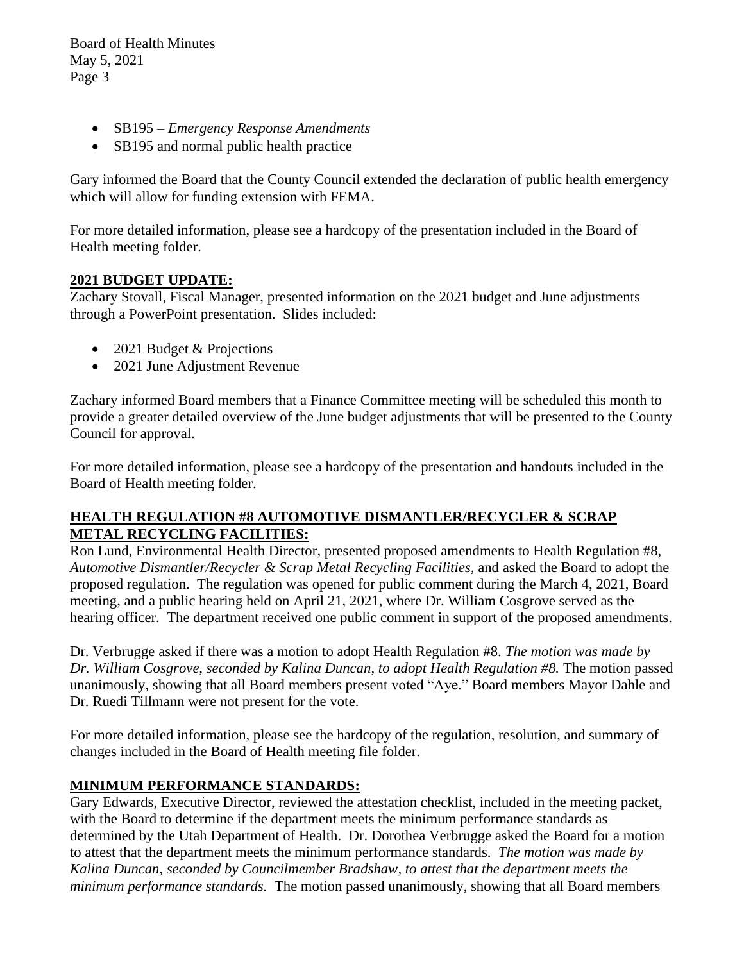Board of Health Minutes May 5, 2021 Page 3

- SB195 *Emergency Response Amendments*
- SB195 and normal public health practice

Gary informed the Board that the County Council extended the declaration of public health emergency which will allow for funding extension with FEMA.

For more detailed information, please see a hardcopy of the presentation included in the Board of Health meeting folder.

### **2021 BUDGET UPDATE:**

Zachary Stovall, Fiscal Manager, presented information on the 2021 budget and June adjustments through a PowerPoint presentation. Slides included:

- 2021 Budget & Projections
- 2021 June Adjustment Revenue

Zachary informed Board members that a Finance Committee meeting will be scheduled this month to provide a greater detailed overview of the June budget adjustments that will be presented to the County Council for approval.

For more detailed information, please see a hardcopy of the presentation and handouts included in the Board of Health meeting folder.

# **HEALTH REGULATION #8 AUTOMOTIVE DISMANTLER/RECYCLER & SCRAP METAL RECYCLING FACILITIES:**

Ron Lund, Environmental Health Director, presented proposed amendments to Health Regulation #8, *Automotive Dismantler/Recycler & Scrap Metal Recycling Facilities,* and asked the Board to adopt the proposed regulation. The regulation was opened for public comment during the March 4, 2021, Board meeting, and a public hearing held on April 21, 2021, where Dr. William Cosgrove served as the hearing officer. The department received one public comment in support of the proposed amendments.

Dr. Verbrugge asked if there was a motion to adopt Health Regulation #8. *The motion was made by Dr. William Cosgrove, seconded by Kalina Duncan, to adopt Health Regulation #8.* The motion passed unanimously, showing that all Board members present voted "Aye." Board members Mayor Dahle and Dr. Ruedi Tillmann were not present for the vote.

For more detailed information, please see the hardcopy of the regulation, resolution, and summary of changes included in the Board of Health meeting file folder.

# **MINIMUM PERFORMANCE STANDARDS:**

Gary Edwards, Executive Director, reviewed the attestation checklist, included in the meeting packet, with the Board to determine if the department meets the minimum performance standards as determined by the Utah Department of Health. Dr. Dorothea Verbrugge asked the Board for a motion to attest that the department meets the minimum performance standards. *The motion was made by Kalina Duncan, seconded by Councilmember Bradshaw, to attest that the department meets the minimum performance standards.* The motion passed unanimously, showing that all Board members